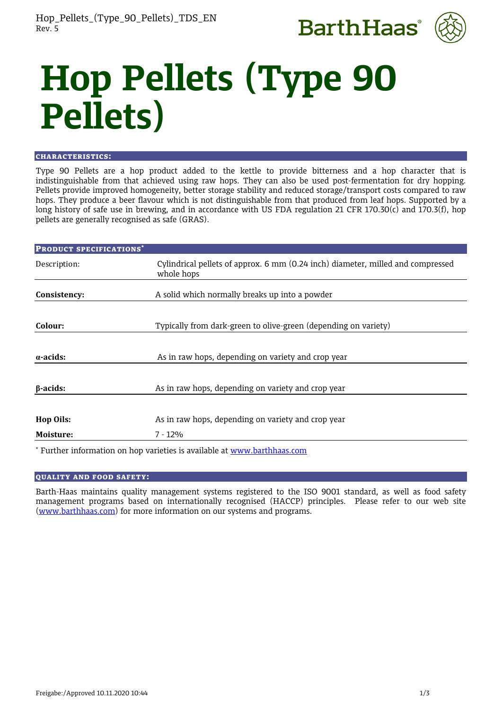



# **Hop Pellets (Type 90 Pellets)**

#### CHARACTERISTICS:

Type 90 Pellets are a hop product added to the kettle to provide bitterness and a hop character that is indistinguishable from that achieved using raw hops. They can also be used post-fermentation for dry hopping. Pellets provide improved homogeneity, better storage stability and reduced storage/transport costs compared to raw hops. They produce a beer flavour which is not distinguishable from that produced from leaf hops. Supported by a long history of safe use in brewing, and in accordance with US FDA regulation 21 CFR 170.30(c) and 170.3(f), hop pellets are generally recognised as safe (GRAS).

| <b>PRODUCT SPECIFICATIONS*</b> |                                                                                               |  |
|--------------------------------|-----------------------------------------------------------------------------------------------|--|
| Description:                   | Cylindrical pellets of approx. 6 mm (0.24 inch) diameter, milled and compressed<br>whole hops |  |
| Consistency:                   | A solid which normally breaks up into a powder                                                |  |
| Colour:                        | Typically from dark-green to olive-green (depending on variety)                               |  |
|                                |                                                                                               |  |
| $\alpha$ -acids:               | As in raw hops, depending on variety and crop year                                            |  |
| $\beta$ -acids:                | As in raw hops, depending on variety and crop year                                            |  |
|                                |                                                                                               |  |
| <b>Hop Oils:</b>               | As in raw hops, depending on variety and crop year                                            |  |
| Moisture:                      | $7 - 12%$                                                                                     |  |
|                                | * Further information on hop varieties is available at www.barthhaas.com                      |  |

# QUALITY AND FOOD SAFETY:

Barth-Haas maintains quality management systems registered to the ISO 9001 standard, as well as food safety management programs based on internationally recognised (HACCP) principles. Please refer to our web site [\(www.barthhaas.com\)](http://www.barthhaas.com/) for more information on our systems and programs.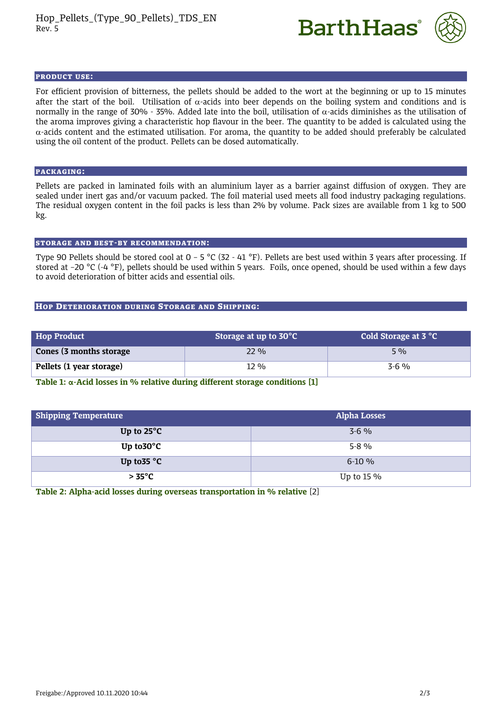



#### PRODUCT USE:

For efficient provision of bitterness, the pellets should be added to the wort at the beginning or up to 15 minutes after the start of the boil. Utilisation of  $\alpha$ -acids into beer depends on the boiling system and conditions and is normally in the range of 30% - 35%. Added late into the boil, utilisation of  $\alpha$ -acids diminishes as the utilisation of the aroma improves giving a characteristic hop flavour in the beer. The quantity to be added is calculated using the  $\alpha$ -acids content and the estimated utilisation. For aroma, the quantity to be added should preferably be calculated using the oil content of the product. Pellets can be dosed automatically.

## PACKAGING:

Pellets are packed in laminated foils with an aluminium layer as a barrier against diffusion of oxygen. They are sealed under inert gas and/or vacuum packed. The foil material used meets all food industry packaging regulations. The residual oxygen content in the foil packs is less than 2% by volume. Pack sizes are available from 1 kg to 500 kg.

#### STORAGE AND BEST-BY RECOMMENDATION:

Type 90 Pellets should be stored cool at  $0 - 5$  °C (32 - 41 °F). Pellets are best used within 3 years after processing. If stored at –20 °C (-4 °F), pellets should be used within 5 years. Foils, once opened, should be used within a few days to avoid deterioration of bitter acids and essential oils.

## HOP DETERIORATION DURING STORAGE AND SHIPPING:

| <b>Hop Product</b>       | Storage at up to 30°C | <b>Cold Storage at 3 °C</b> |
|--------------------------|-----------------------|-----------------------------|
| Cones (3 months storage) | 22.96                 | $5\%$                       |
| Pellets (1 year storage) | 12 %                  | $3-6\%$                     |

**Table 1: α-Acid losses in % relative during different storage conditions [1]**

| <b>Shipping Temperature</b> | <b>Alpha Losses</b> |
|-----------------------------|---------------------|
| Up to $25^{\circ}$ C        | $3 - 6\%$           |
| Up to $30^{\circ}$ C        | $5-8\%$             |
| Up to 35 $^{\circ}$ C       | $6-10\%$            |
| $> 35^{\circ}$ C            | Up to $15\%$        |

**Table 2: Alpha-acid losses during overseas transportation in % relative** [2]